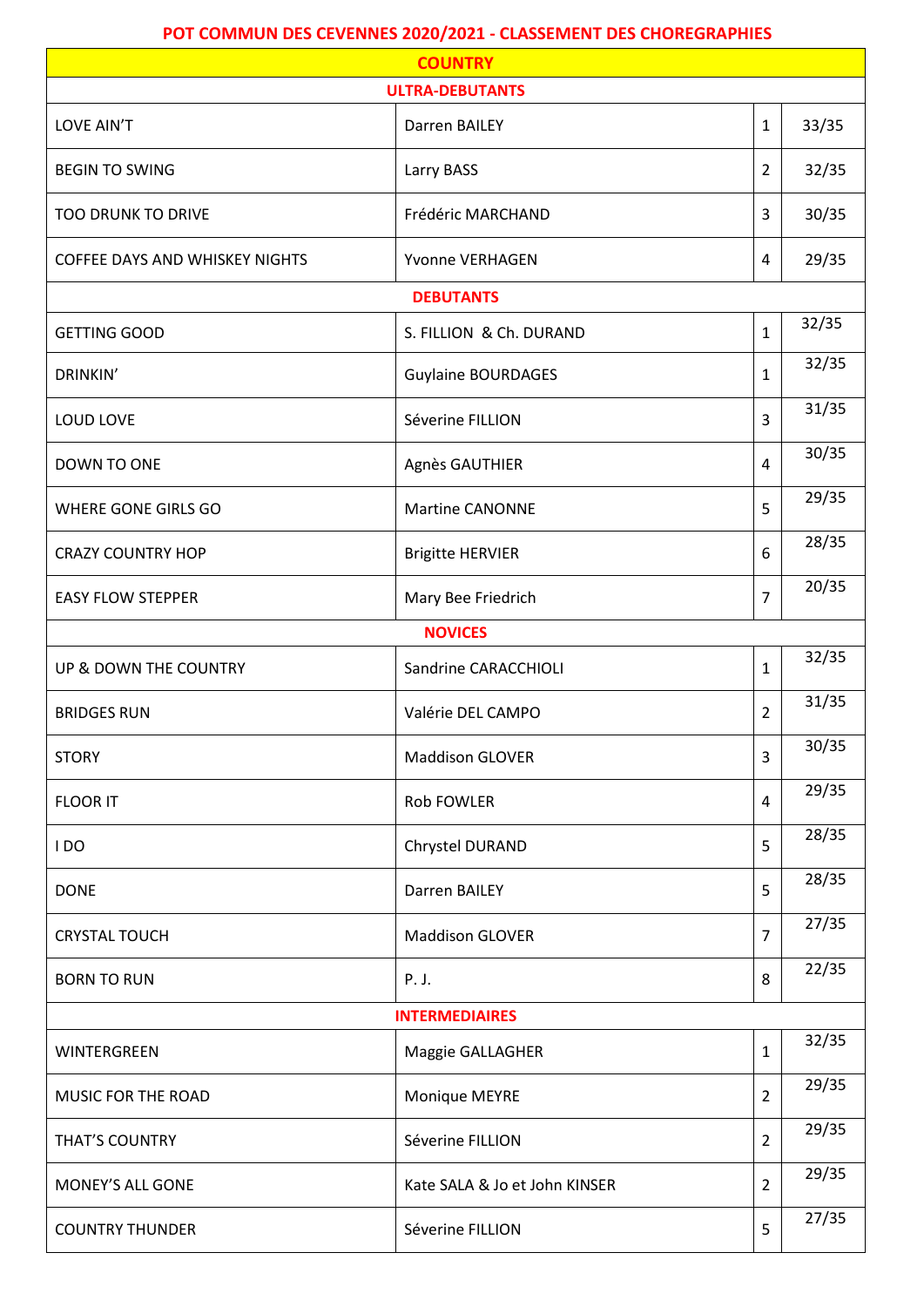## **POT COMMUN DES CEVENNES 2020/2021 - CLASSEMENT DES CHOREGRAPHIES**

| <b>COUNTRY</b>                        |                               |                |       |  |  |  |  |
|---------------------------------------|-------------------------------|----------------|-------|--|--|--|--|
| <b>ULTRA-DEBUTANTS</b>                |                               |                |       |  |  |  |  |
| LOVE AIN'T                            | Darren BAILEY                 | $\mathbf{1}$   | 33/35 |  |  |  |  |
| <b>BEGIN TO SWING</b>                 | Larry BASS                    | $\overline{2}$ | 32/35 |  |  |  |  |
| <b>TOO DRUNK TO DRIVE</b>             | Frédéric MARCHAND             | 3              | 30/35 |  |  |  |  |
| <b>COFFEE DAYS AND WHISKEY NIGHTS</b> | Yvonne VERHAGEN               | 4              | 29/35 |  |  |  |  |
| <b>DEBUTANTS</b>                      |                               |                |       |  |  |  |  |
| <b>GETTING GOOD</b>                   | S. FILLION & Ch. DURAND       | $\mathbf{1}$   | 32/35 |  |  |  |  |
| DRINKIN'                              | <b>Guylaine BOURDAGES</b>     | $\mathbf{1}$   | 32/35 |  |  |  |  |
| LOUD LOVE                             | Séverine FILLION              | 3              | 31/35 |  |  |  |  |
| DOWN TO ONE                           | Agnès GAUTHIER                | 4              | 30/35 |  |  |  |  |
| <b>WHERE GONE GIRLS GO</b>            | Martine CANONNE               | 5              | 29/35 |  |  |  |  |
| <b>CRAZY COUNTRY HOP</b>              | <b>Brigitte HERVIER</b>       | 6              | 28/35 |  |  |  |  |
| <b>EASY FLOW STEPPER</b>              | Mary Bee Friedrich            | 7              | 20/35 |  |  |  |  |
|                                       | <b>NOVICES</b>                |                |       |  |  |  |  |
| UP & DOWN THE COUNTRY                 | Sandrine CARACCHIOLI          | $\mathbf{1}$   | 32/35 |  |  |  |  |
| <b>BRIDGES RUN</b>                    | Valérie DEL CAMPO             | $\overline{2}$ | 31/35 |  |  |  |  |
| <b>STORY</b>                          | <b>Maddison GLOVER</b>        | 3              | 30/35 |  |  |  |  |
| <b>FLOOR IT</b>                       | <b>Rob FOWLER</b>             | 4              | 29/35 |  |  |  |  |
| IDO                                   | Chrystel DURAND               | 5              | 28/35 |  |  |  |  |
| <b>DONE</b>                           | Darren BAILEY                 | 5              | 28/35 |  |  |  |  |
| <b>CRYSTAL TOUCH</b>                  | <b>Maddison GLOVER</b>        | 7              | 27/35 |  |  |  |  |
| <b>BORN TO RUN</b>                    | P. J.                         | 8              | 22/35 |  |  |  |  |
| <b>INTERMEDIAIRES</b>                 |                               |                |       |  |  |  |  |
| WINTERGREEN                           | Maggie GALLAGHER              | $\mathbf{1}$   | 32/35 |  |  |  |  |
| MUSIC FOR THE ROAD                    | Monique MEYRE                 | $\overline{2}$ | 29/35 |  |  |  |  |
| THAT'S COUNTRY                        | Séverine FILLION              | $\overline{2}$ | 29/35 |  |  |  |  |
| MONEY'S ALL GONE                      | Kate SALA & Jo et John KINSER | $\overline{2}$ | 29/35 |  |  |  |  |
| <b>COUNTRY THUNDER</b>                | Séverine FILLION              | 5              | 27/35 |  |  |  |  |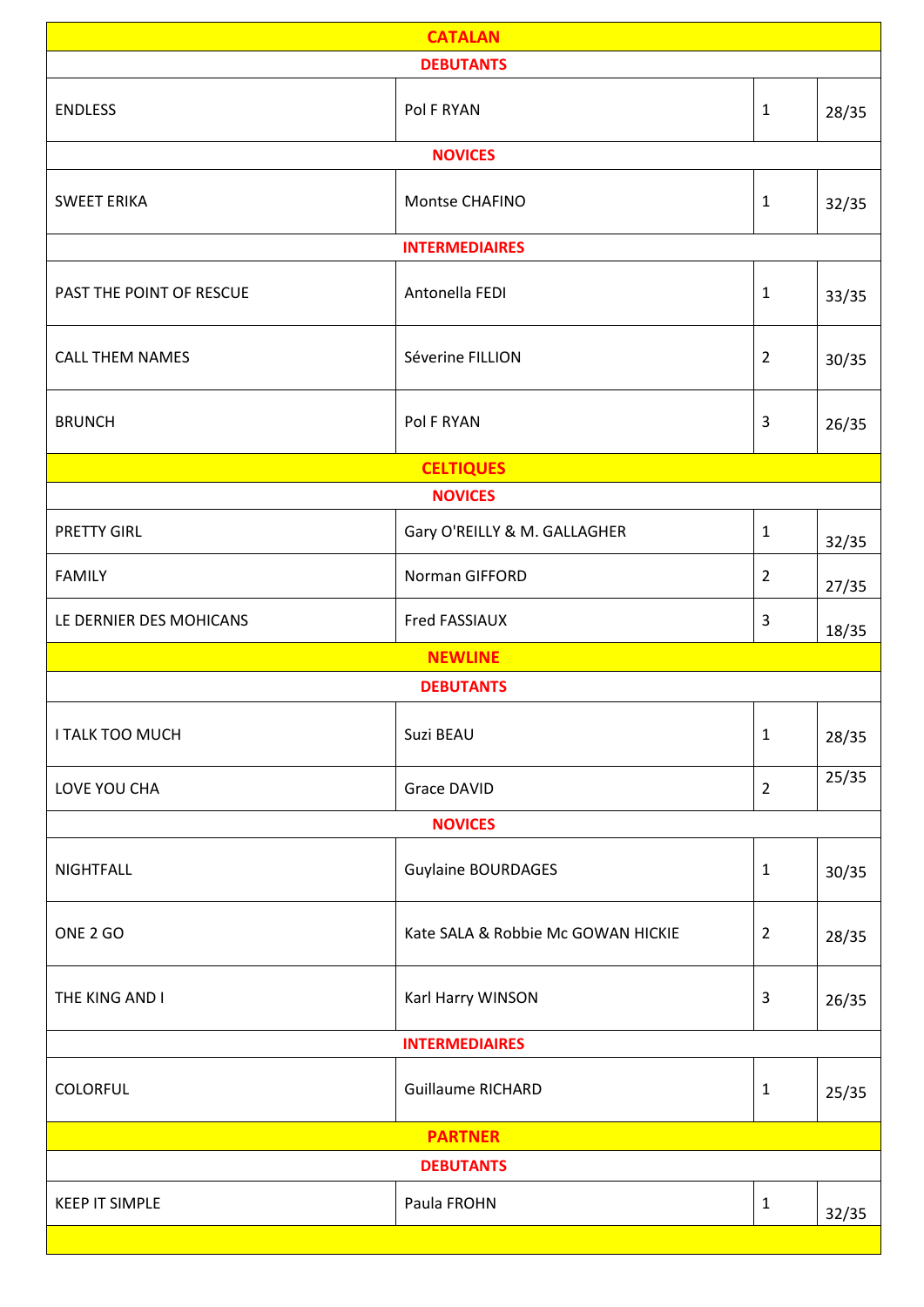| <b>DEBUTANTS</b><br><b>ENDLESS</b><br>Pol F RYAN<br>$\mathbf{1}$<br>28/35<br><b>NOVICES</b><br><b>SWEET ERIKA</b><br>Montse CHAFINO<br>$\mathbf{1}$<br>32/35<br><b>INTERMEDIAIRES</b><br>Antonella FEDI<br>PAST THE POINT OF RESCUE<br>$\mathbf{1}$<br>33/35<br>Séverine FILLION<br><b>CALL THEM NAMES</b><br>$\overline{2}$<br>30/35<br>Pol F RYAN<br>$\mathbf{3}$<br><b>BRUNCH</b><br>26/35<br><b>CELTIQUES</b><br><b>NOVICES</b><br>$\mathbf{1}$<br><b>PRETTY GIRL</b><br>Gary O'REILLY & M. GALLAGHER<br>32/35<br><b>FAMILY</b><br>Norman GIFFORD<br>$\overline{2}$<br>27/35<br>Fred FASSIAUX<br>$\overline{3}$<br>LE DERNIER DES MOHICANS<br>18/35<br><b>NEWLINE</b><br><b>DEBUTANTS</b><br>I TALK TOO MUCH<br>Suzi BEAU<br>$\mathbf{1}$<br>28/35<br>25/35<br>$\overline{2}$<br>LOVE YOU CHA<br><b>Grace DAVID</b><br><b>NOVICES</b><br><b>Guylaine BOURDAGES</b><br><b>NIGHTFALL</b><br>$\mathbf 1$<br>30/35<br>ONE 2 GO<br>Kate SALA & Robbie Mc GOWAN HICKIE<br>$\overline{2}$<br>28/35<br>Karl Harry WINSON<br>$\mathbf{3}$<br>THE KING AND I<br>26/35<br><b>INTERMEDIAIRES</b><br><b>Guillaume RICHARD</b><br><b>COLORFUL</b><br>$\mathbf{1}$<br>25/35<br><b>PARTNER</b><br><b>DEBUTANTS</b><br><b>KEEP IT SIMPLE</b><br>Paula FROHN<br>$\mathbf 1$<br>32/35 | <b>CATALAN</b> |  |  |  |  |  |  |
|------------------------------------------------------------------------------------------------------------------------------------------------------------------------------------------------------------------------------------------------------------------------------------------------------------------------------------------------------------------------------------------------------------------------------------------------------------------------------------------------------------------------------------------------------------------------------------------------------------------------------------------------------------------------------------------------------------------------------------------------------------------------------------------------------------------------------------------------------------------------------------------------------------------------------------------------------------------------------------------------------------------------------------------------------------------------------------------------------------------------------------------------------------------------------------------------------------------------------------------------------------------------|----------------|--|--|--|--|--|--|
|                                                                                                                                                                                                                                                                                                                                                                                                                                                                                                                                                                                                                                                                                                                                                                                                                                                                                                                                                                                                                                                                                                                                                                                                                                                                        |                |  |  |  |  |  |  |
|                                                                                                                                                                                                                                                                                                                                                                                                                                                                                                                                                                                                                                                                                                                                                                                                                                                                                                                                                                                                                                                                                                                                                                                                                                                                        |                |  |  |  |  |  |  |
|                                                                                                                                                                                                                                                                                                                                                                                                                                                                                                                                                                                                                                                                                                                                                                                                                                                                                                                                                                                                                                                                                                                                                                                                                                                                        |                |  |  |  |  |  |  |
|                                                                                                                                                                                                                                                                                                                                                                                                                                                                                                                                                                                                                                                                                                                                                                                                                                                                                                                                                                                                                                                                                                                                                                                                                                                                        |                |  |  |  |  |  |  |
|                                                                                                                                                                                                                                                                                                                                                                                                                                                                                                                                                                                                                                                                                                                                                                                                                                                                                                                                                                                                                                                                                                                                                                                                                                                                        |                |  |  |  |  |  |  |
|                                                                                                                                                                                                                                                                                                                                                                                                                                                                                                                                                                                                                                                                                                                                                                                                                                                                                                                                                                                                                                                                                                                                                                                                                                                                        |                |  |  |  |  |  |  |
|                                                                                                                                                                                                                                                                                                                                                                                                                                                                                                                                                                                                                                                                                                                                                                                                                                                                                                                                                                                                                                                                                                                                                                                                                                                                        |                |  |  |  |  |  |  |
|                                                                                                                                                                                                                                                                                                                                                                                                                                                                                                                                                                                                                                                                                                                                                                                                                                                                                                                                                                                                                                                                                                                                                                                                                                                                        |                |  |  |  |  |  |  |
|                                                                                                                                                                                                                                                                                                                                                                                                                                                                                                                                                                                                                                                                                                                                                                                                                                                                                                                                                                                                                                                                                                                                                                                                                                                                        |                |  |  |  |  |  |  |
|                                                                                                                                                                                                                                                                                                                                                                                                                                                                                                                                                                                                                                                                                                                                                                                                                                                                                                                                                                                                                                                                                                                                                                                                                                                                        |                |  |  |  |  |  |  |
|                                                                                                                                                                                                                                                                                                                                                                                                                                                                                                                                                                                                                                                                                                                                                                                                                                                                                                                                                                                                                                                                                                                                                                                                                                                                        |                |  |  |  |  |  |  |
|                                                                                                                                                                                                                                                                                                                                                                                                                                                                                                                                                                                                                                                                                                                                                                                                                                                                                                                                                                                                                                                                                                                                                                                                                                                                        |                |  |  |  |  |  |  |
|                                                                                                                                                                                                                                                                                                                                                                                                                                                                                                                                                                                                                                                                                                                                                                                                                                                                                                                                                                                                                                                                                                                                                                                                                                                                        |                |  |  |  |  |  |  |
|                                                                                                                                                                                                                                                                                                                                                                                                                                                                                                                                                                                                                                                                                                                                                                                                                                                                                                                                                                                                                                                                                                                                                                                                                                                                        |                |  |  |  |  |  |  |
|                                                                                                                                                                                                                                                                                                                                                                                                                                                                                                                                                                                                                                                                                                                                                                                                                                                                                                                                                                                                                                                                                                                                                                                                                                                                        |                |  |  |  |  |  |  |
|                                                                                                                                                                                                                                                                                                                                                                                                                                                                                                                                                                                                                                                                                                                                                                                                                                                                                                                                                                                                                                                                                                                                                                                                                                                                        |                |  |  |  |  |  |  |
|                                                                                                                                                                                                                                                                                                                                                                                                                                                                                                                                                                                                                                                                                                                                                                                                                                                                                                                                                                                                                                                                                                                                                                                                                                                                        |                |  |  |  |  |  |  |
|                                                                                                                                                                                                                                                                                                                                                                                                                                                                                                                                                                                                                                                                                                                                                                                                                                                                                                                                                                                                                                                                                                                                                                                                                                                                        |                |  |  |  |  |  |  |
|                                                                                                                                                                                                                                                                                                                                                                                                                                                                                                                                                                                                                                                                                                                                                                                                                                                                                                                                                                                                                                                                                                                                                                                                                                                                        |                |  |  |  |  |  |  |
|                                                                                                                                                                                                                                                                                                                                                                                                                                                                                                                                                                                                                                                                                                                                                                                                                                                                                                                                                                                                                                                                                                                                                                                                                                                                        |                |  |  |  |  |  |  |
|                                                                                                                                                                                                                                                                                                                                                                                                                                                                                                                                                                                                                                                                                                                                                                                                                                                                                                                                                                                                                                                                                                                                                                                                                                                                        |                |  |  |  |  |  |  |
|                                                                                                                                                                                                                                                                                                                                                                                                                                                                                                                                                                                                                                                                                                                                                                                                                                                                                                                                                                                                                                                                                                                                                                                                                                                                        |                |  |  |  |  |  |  |
|                                                                                                                                                                                                                                                                                                                                                                                                                                                                                                                                                                                                                                                                                                                                                                                                                                                                                                                                                                                                                                                                                                                                                                                                                                                                        |                |  |  |  |  |  |  |
|                                                                                                                                                                                                                                                                                                                                                                                                                                                                                                                                                                                                                                                                                                                                                                                                                                                                                                                                                                                                                                                                                                                                                                                                                                                                        |                |  |  |  |  |  |  |
|                                                                                                                                                                                                                                                                                                                                                                                                                                                                                                                                                                                                                                                                                                                                                                                                                                                                                                                                                                                                                                                                                                                                                                                                                                                                        |                |  |  |  |  |  |  |
|                                                                                                                                                                                                                                                                                                                                                                                                                                                                                                                                                                                                                                                                                                                                                                                                                                                                                                                                                                                                                                                                                                                                                                                                                                                                        |                |  |  |  |  |  |  |